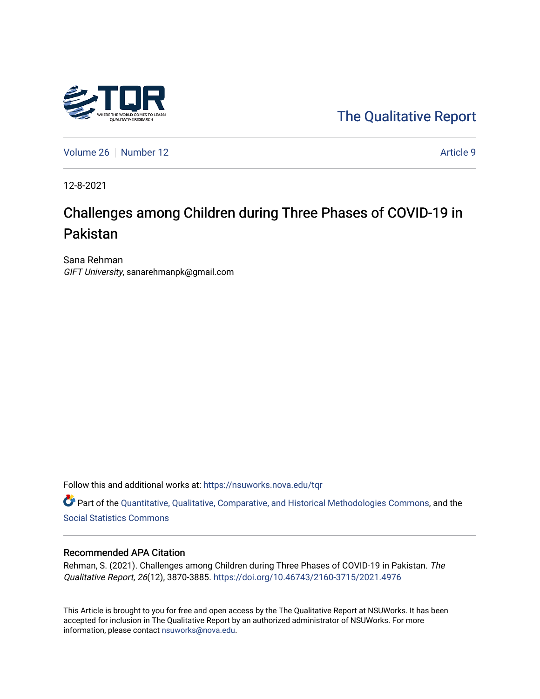

[The Qualitative Report](https://nsuworks.nova.edu/tqr) 

[Volume 26](https://nsuworks.nova.edu/tqr/vol26) [Number 12](https://nsuworks.nova.edu/tqr/vol26/iss12) Article 9

12-8-2021

# Challenges among Children during Three Phases of COVID-19 in Pakistan

Sana Rehman GIFT University, sanarehmanpk@gmail.com

Follow this and additional works at: [https://nsuworks.nova.edu/tqr](https://nsuworks.nova.edu/tqr?utm_source=nsuworks.nova.edu%2Ftqr%2Fvol26%2Fiss12%2F9&utm_medium=PDF&utm_campaign=PDFCoverPages) 

Part of the [Quantitative, Qualitative, Comparative, and Historical Methodologies Commons,](http://network.bepress.com/hgg/discipline/423?utm_source=nsuworks.nova.edu%2Ftqr%2Fvol26%2Fiss12%2F9&utm_medium=PDF&utm_campaign=PDFCoverPages) and the [Social Statistics Commons](http://network.bepress.com/hgg/discipline/1275?utm_source=nsuworks.nova.edu%2Ftqr%2Fvol26%2Fiss12%2F9&utm_medium=PDF&utm_campaign=PDFCoverPages) 

#### Recommended APA Citation

Rehman, S. (2021). Challenges among Children during Three Phases of COVID-19 in Pakistan. The Qualitative Report, 26(12), 3870-3885.<https://doi.org/10.46743/2160-3715/2021.4976>

This Article is brought to you for free and open access by the The Qualitative Report at NSUWorks. It has been accepted for inclusion in The Qualitative Report by an authorized administrator of NSUWorks. For more information, please contact [nsuworks@nova.edu.](mailto:nsuworks@nova.edu)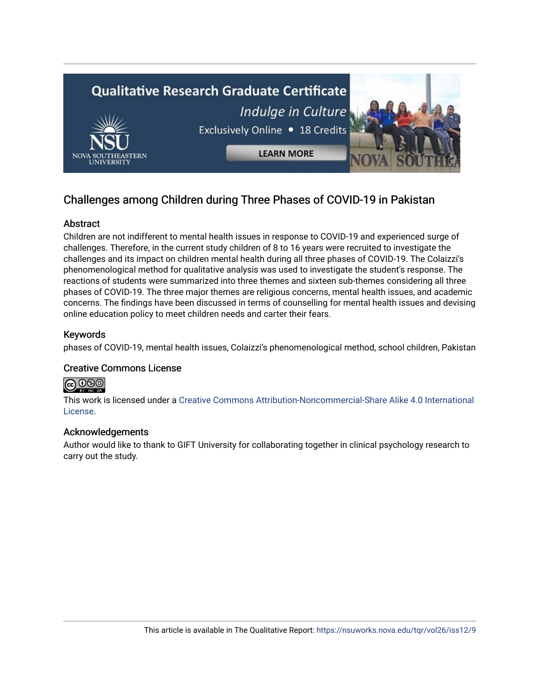

# Challenges among Children during Three Phases of COVID-19 in Pakistan

# Abstract

Children are not indifferent to mental health issues in response to COVID-19 and experienced surge of challenges. Therefore, in the current study children of 8 to 16 years were recruited to investigate the challenges and its impact on children mental health during all three phases of COVID-19. The Colaizzi's phenomenological method for qualitative analysis was used to investigate the student's response. The reactions of students were summarized into three themes and sixteen sub-themes considering all three phases of COVID-19. The three major themes are religious concerns, mental health issues, and academic concerns. The findings have been discussed in terms of counselling for mental health issues and devising online education policy to meet children needs and carter their fears.

## Keywords

phases of COVID-19, mental health issues, Colaizzi's phenomenological method, school children, Pakistan

## Creative Commons License

# 

This work is licensed under a [Creative Commons Attribution-Noncommercial-Share Alike 4.0 International](https://creativecommons.org/licenses/by-nc-sa/4.0/)  [License](https://creativecommons.org/licenses/by-nc-sa/4.0/).

## Acknowledgements

Author would like to thank to GIFT University for collaborating together in clinical psychology research to carry out the study.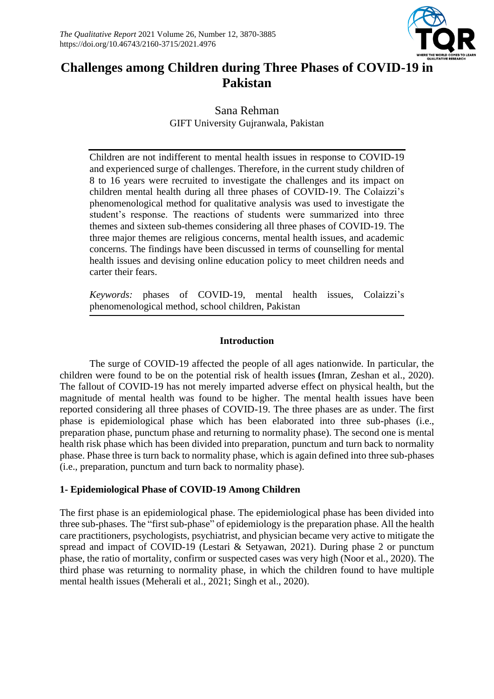

# **Challenges among Children during Three Phases of COVID-19 in Pakistan**

Sana Rehman GIFT University Gujranwala, Pakistan

Children are not indifferent to mental health issues in response to COVID-19 and experienced surge of challenges. Therefore, in the current study children of 8 to 16 years were recruited to investigate the challenges and its impact on children mental health during all three phases of COVID-19. The Colaizzi's phenomenological method for qualitative analysis was used to investigate the student's response. The reactions of students were summarized into three themes and sixteen sub-themes considering all three phases of COVID-19. The three major themes are religious concerns, mental health issues, and academic concerns. The findings have been discussed in terms of counselling for mental health issues and devising online education policy to meet children needs and carter their fears.

*Keywords:* phases of COVID-19, mental health issues, Colaizzi's phenomenological method, school children, Pakistan

# **Introduction**

The surge of COVID-19 affected the people of all ages nationwide. In particular, the children were found to be on the potential risk of health issues **(**Imran, Zeshan et al., 2020). The fallout of COVID-19 has not merely imparted adverse effect on physical health, but the magnitude of mental health was found to be higher. The mental health issues have been reported considering all three phases of COVID-19. The three phases are as under. The first phase is epidemiological phase which has been elaborated into three sub-phases (i.e., preparation phase, punctum phase and returning to normality phase). The second one is mental health risk phase which has been divided into preparation, punctum and turn back to normality phase. Phase three is turn back to normality phase, which is again defined into three sub-phases (i.e., preparation, punctum and turn back to normality phase).

# **1- Epidemiological Phase of COVID-19 Among Children**

The first phase is an epidemiological phase. The epidemiological phase has been divided into three sub-phases. The "first sub-phase" of epidemiology is the preparation phase. All the health care practitioners, psychologists, psychiatrist, and physician became very active to mitigate the spread and impact of COVID-19 (Lestari & Setyawan, 2021). During phase 2 or punctum phase, the ratio of mortality, confirm or suspected cases was very high (Noor et al., 2020). The third phase was returning to normality phase, in which the children found to have multiple mental health issues (Meherali et al., 2021; Singh et al., 2020).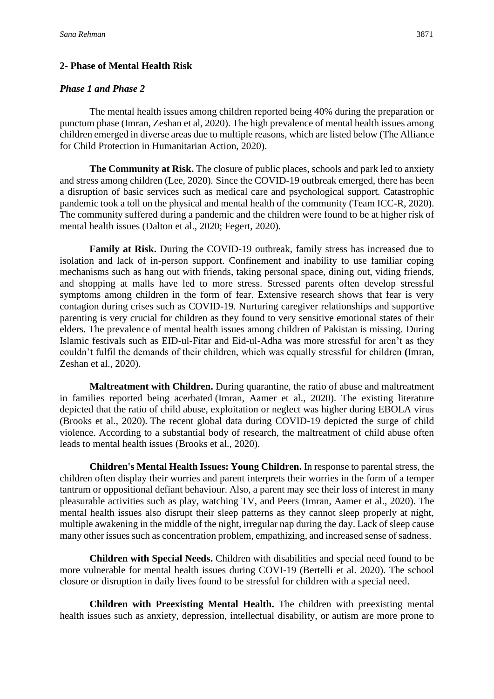## **2- Phase of Mental Health Risk**

## *Phase 1 and Phase 2*

The mental health issues among children reported being 40% during the preparation or punctum phase (Imran, Zeshan et al, 2020). The high prevalence of mental health issues among children emerged in diverse areas due to multiple reasons, which are listed below (The Alliance for Child Protection in Humanitarian Action, 2020).

**The Community at Risk.** The closure of public places, schools and park led to anxiety and stress among children (Lee, 2020)*.* Since the COVID-19 outbreak emerged, there has been a disruption of basic services such as medical care and psychological support. Catastrophic pandemic took a toll on the physical and mental health of the community (Team ICC-R, 2020). The community suffered during a pandemic and the children were found to be at higher risk of mental health issues (Dalton et al., 2020; Fegert, 2020).

**Family at Risk.** During the COVID-19 outbreak, family stress has increased due to isolation and lack of in-person support. Confinement and inability to use familiar coping mechanisms such as hang out with friends, taking personal space, dining out, viding friends, and shopping at malls have led to more stress. Stressed parents often develop stressful symptoms among children in the form of fear. Extensive research shows that fear is very contagion during crises such as COVID-19. Nurturing caregiver relationships and supportive parenting is very crucial for children as they found to very sensitive emotional states of their elders. The prevalence of mental health issues among children of Pakistan is missing. During Islamic festivals such as EID-ul-Fitar and Eid-ul-Adha was more stressful for aren't as they couldn't fulfil the demands of their children, which was equally stressful for children **(**Imran, Zeshan et al., 2020).

**Maltreatment with Children.** During quarantine, the ratio of abuse and maltreatment in families reported being acerbated (Imran, Aamer et al., 2020). The existing literature depicted that the ratio of child abuse, exploitation or neglect was higher during EBOLA virus (Brooks et al., 2020)*.* The recent global data during COVID-19 depicted the surge of child violence. According to a substantial body of research, the maltreatment of child abuse often leads to mental health issues (Brooks et al., 2020).

**Children's Mental Health Issues: Young Children.** In response to parental stress, the children often display their worries and parent interprets their worries in the form of a temper tantrum or oppositional defiant behaviour. Also, a parent may see their loss of interest in many pleasurable activities such as play, watching TV, and Peers (Imran, Aamer et al., 2020). The mental health issues also disrupt their sleep patterns as they cannot sleep properly at night, multiple awakening in the middle of the night, irregular nap during the day. Lack of sleep cause many other issues such as concentration problem, empathizing, and increased sense of sadness.

**Children with Special Needs.** Children with disabilities and special need found to be more vulnerable for mental health issues during COVI-19 (Bertelli et al. 2020). The school closure or disruption in daily lives found to be stressful for children with a special need.

**Children with Preexisting Mental Health.** The children with preexisting mental health issues such as anxiety, depression, intellectual disability, or autism are more prone to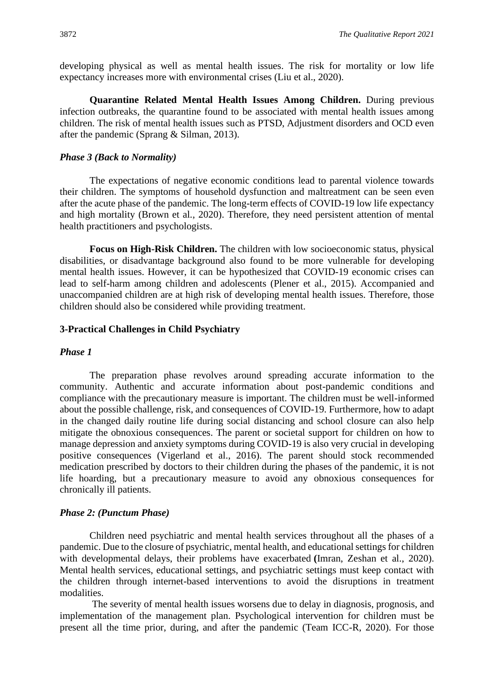developing physical as well as mental health issues. The risk for mortality or low life expectancy increases more with environmental crises (Liu et al., 2020).

**Quarantine Related Mental Health Issues Among Children.** During previous infection outbreaks, the quarantine found to be associated with mental health issues among children. The risk of mental health issues such as PTSD, Adjustment disorders and OCD even after the pandemic (Sprang & Silman, 2013).

#### *Phase 3 (Back to Normality)*

The expectations of negative economic conditions lead to parental violence towards their children. The symptoms of household dysfunction and maltreatment can be seen even after the acute phase of the pandemic. The long-term effects of COVID-19 low life expectancy and high mortality (Brown et al., 2020). Therefore, they need persistent attention of mental health practitioners and psychologists.

**Focus on High-Risk Children.** The children with low socioeconomic status, physical disabilities, or disadvantage background also found to be more vulnerable for developing mental health issues. However, it can be hypothesized that COVID-19 economic crises can lead to self-harm among children and adolescents (Plener et al., 2015). Accompanied and unaccompanied children are at high risk of developing mental health issues. Therefore, those children should also be considered while providing treatment.

#### **3-Practical Challenges in Child Psychiatry**

#### *Phase 1*

The preparation phase revolves around spreading accurate information to the community. Authentic and accurate information about post-pandemic conditions and compliance with the precautionary measure is important. The children must be well-informed about the possible challenge, risk, and consequences of COVID-19. Furthermore, how to adapt in the changed daily routine life during social distancing and school closure can also help mitigate the obnoxious consequences. The parent or societal support for children on how to manage depression and anxiety symptoms during COVID-19 is also very crucial in developing positive consequences (Vigerland et al., 2016). The parent should stock recommended medication prescribed by doctors to their children during the phases of the pandemic, it is not life hoarding, but a precautionary measure to avoid any obnoxious consequences for chronically ill patients.

#### *Phase 2: (Punctum Phase)*

Children need psychiatric and mental health services throughout all the phases of a pandemic. Due to the closure of psychiatric, mental health, and educational settings for children with developmental delays, their problems have exacerbated **(**Imran, Zeshan et al., 2020). Mental health services, educational settings, and psychiatric settings must keep contact with the children through internet-based interventions to avoid the disruptions in treatment modalities.

The severity of mental health issues worsens due to delay in diagnosis, prognosis, and implementation of the management plan. Psychological intervention for children must be present all the time prior, during, and after the pandemic (Team ICC-R, 2020). For those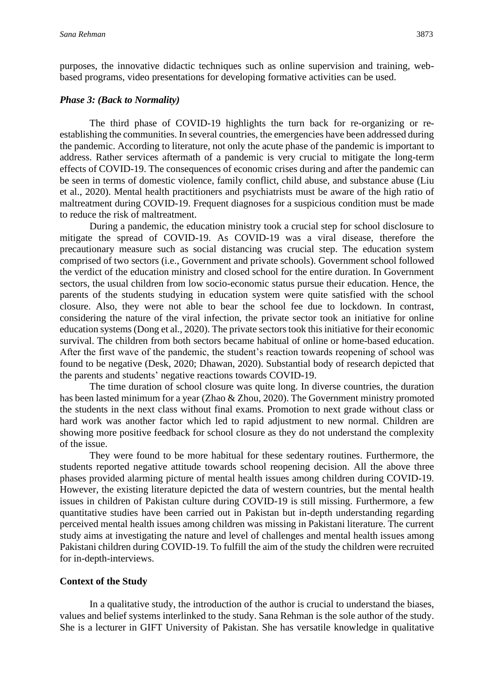purposes, the innovative didactic techniques such as online supervision and training, webbased programs, video presentations for developing formative activities can be used.

#### *Phase 3: (Back to Normality)*

The third phase of COVID-19 highlights the turn back for re-organizing or reestablishing the communities. In several countries, the emergencies have been addressed during the pandemic. According to literature, not only the acute phase of the pandemic is important to address. Rather services aftermath of a pandemic is very crucial to mitigate the long-term effects of COVID-19. The consequences of economic crises during and after the pandemic can be seen in terms of domestic violence, family conflict, child abuse, and substance abuse (Liu et al., 2020). Mental health practitioners and psychiatrists must be aware of the high ratio of maltreatment during COVID-19. Frequent diagnoses for a suspicious condition must be made to reduce the risk of maltreatment.

During a pandemic, the education ministry took a crucial step for school disclosure to mitigate the spread of COVID-19. As COVID-19 was a viral disease, therefore the precautionary measure such as social distancing was crucial step. The education system comprised of two sectors (i.e., Government and private schools). Government school followed the verdict of the education ministry and closed school for the entire duration. In Government sectors, the usual children from low socio-economic status pursue their education. Hence, the parents of the students studying in education system were quite satisfied with the school closure. Also, they were not able to bear the school fee due to lockdown. In contrast, considering the nature of the viral infection, the private sector took an initiative for online education systems (Dong et al., 2020). The private sectors took this initiative for their economic survival. The children from both sectors became habitual of online or home-based education. After the first wave of the pandemic, the student's reaction towards reopening of school was found to be negative (Desk, 2020; Dhawan, 2020). Substantial body of research depicted that the parents and students' negative reactions towards COVID-19.

The time duration of school closure was quite long. In diverse countries, the duration has been lasted minimum for a year (Zhao & Zhou, 2020). The Government ministry promoted the students in the next class without final exams. Promotion to next grade without class or hard work was another factor which led to rapid adjustment to new normal. Children are showing more positive feedback for school closure as they do not understand the complexity of the issue.

They were found to be more habitual for these sedentary routines. Furthermore, the students reported negative attitude towards school reopening decision. All the above three phases provided alarming picture of mental health issues among children during COVID-19. However, the existing literature depicted the data of western countries, but the mental health issues in children of Pakistan culture during COVID-19 is still missing. Furthermore, a few quantitative studies have been carried out in Pakistan but in-depth understanding regarding perceived mental health issues among children was missing in Pakistani literature. The current study aims at investigating the nature and level of challenges and mental health issues among Pakistani children during COVID-19. To fulfill the aim of the study the children were recruited for in-depth-interviews.

#### **Context of the Study**

In a qualitative study, the introduction of the author is crucial to understand the biases, values and belief systems interlinked to the study. Sana Rehman is the sole author of the study. She is a lecturer in GIFT University of Pakistan. She has versatile knowledge in qualitative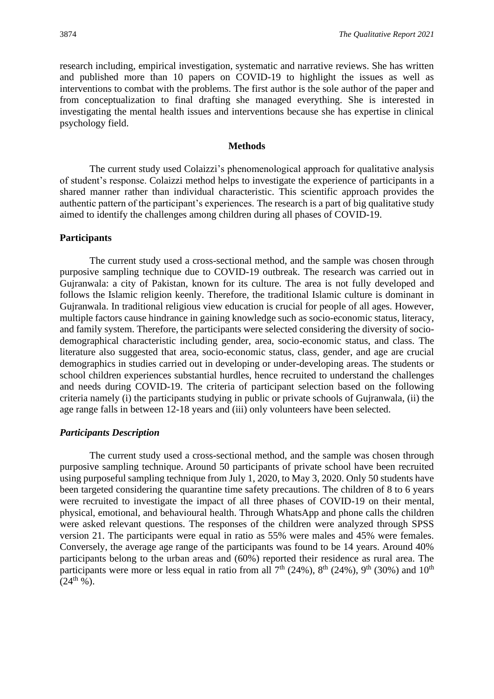research including, empirical investigation, systematic and narrative reviews. She has written and published more than 10 papers on COVID-19 to highlight the issues as well as interventions to combat with the problems. The first author is the sole author of the paper and from conceptualization to final drafting she managed everything. She is interested in investigating the mental health issues and interventions because she has expertise in clinical psychology field.

#### **Methods**

The current study used Colaizzi's phenomenological approach for qualitative analysis of student's response. Colaizzi method helps to investigate the experience of participants in a shared manner rather than individual characteristic. This scientific approach provides the authentic pattern of the participant's experiences. The research is a part of big qualitative study aimed to identify the challenges among children during all phases of COVID-19.

#### **Participants**

The current study used a cross-sectional method, and the sample was chosen through purposive sampling technique due to COVID-19 outbreak. The research was carried out in Gujranwala: a city of Pakistan, known for its culture. The area is not fully developed and follows the Islamic religion keenly. Therefore, the traditional Islamic culture is dominant in Gujranwala. In traditional religious view education is crucial for people of all ages. However, multiple factors cause hindrance in gaining knowledge such as socio-economic status, literacy, and family system. Therefore, the participants were selected considering the diversity of sociodemographical characteristic including gender, area, socio-economic status, and class. The literature also suggested that area, socio-economic status, class, gender, and age are crucial demographics in studies carried out in developing or under-developing areas. The students or school children experiences substantial hurdles, hence recruited to understand the challenges and needs during COVID-19. The criteria of participant selection based on the following criteria namely (i) the participants studying in public or private schools of Gujranwala, (ii) the age range falls in between 12-18 years and (iii) only volunteers have been selected.

#### *Participants Description*

The current study used a cross-sectional method, and the sample was chosen through purposive sampling technique. Around 50 participants of private school have been recruited using purposeful sampling technique from July 1, 2020, to May 3, 2020. Only 50 students have been targeted considering the quarantine time safety precautions. The children of 8 to 6 years were recruited to investigate the impact of all three phases of COVID-19 on their mental, physical, emotional, and behavioural health. Through WhatsApp and phone calls the children were asked relevant questions. The responses of the children were analyzed through SPSS version 21. The participants were equal in ratio as 55% were males and 45% were females. Conversely, the average age range of the participants was found to be 14 years. Around 40% participants belong to the urban areas and (60%) reported their residence as rural area. The participants were more or less equal in ratio from all  $7<sup>th</sup>$  (24%),  $8<sup>th</sup>$  (24%),  $9<sup>th</sup>$  (30%) and  $10<sup>th</sup>$  $(24^{th} %$  %).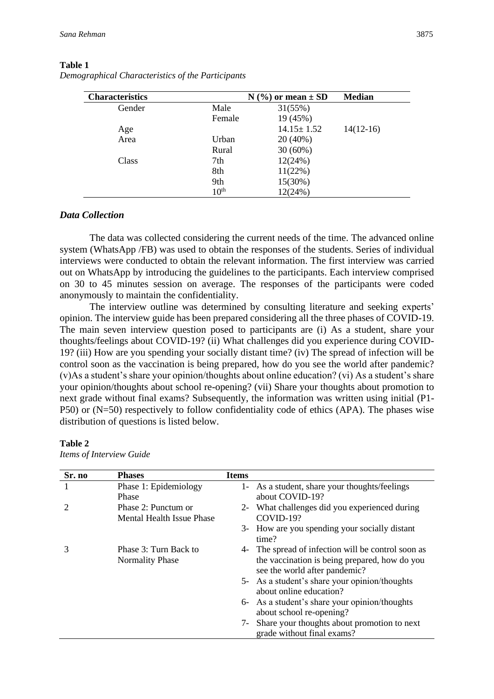| <b>Characteristics</b> |                  | $N$ (%) or mean $\pm$ SD | <b>Median</b> |
|------------------------|------------------|--------------------------|---------------|
| Gender                 | Male             | 31(55%)                  |               |
|                        | Female           | 19 (45%)                 |               |
| Age                    |                  | $14.15 \pm 1.52$         | $14(12-16)$   |
| Area                   | Urban            | $20(40\%)$               |               |
|                        | Rural            | $30(60\%)$               |               |
| Class                  | 7th              | 12(24%)                  |               |
|                        | 8th              | 11(22%)                  |               |
|                        | 9th              | 15(30%)                  |               |
|                        | 10 <sup>th</sup> | 12(24%)                  |               |

#### **Table 1**

*Demographical Characteristics of the Participants*

#### *Data Collection*

The data was collected considering the current needs of the time. The advanced online system (WhatsApp /FB) was used to obtain the responses of the students. Series of individual interviews were conducted to obtain the relevant information. The first interview was carried out on WhatsApp by introducing the guidelines to the participants. Each interview comprised on 30 to 45 minutes session on average. The responses of the participants were coded anonymously to maintain the confidentiality.

The interview outline was determined by consulting literature and seeking experts' opinion. The interview guide has been prepared considering all the three phases of COVID-19. The main seven interview question posed to participants are (i) As a student, share your thoughts/feelings about COVID-19? (ii) What challenges did you experience during COVID-19? (iii) How are you spending your socially distant time? (iv) The spread of infection will be control soon as the vaccination is being prepared, how do you see the world after pandemic? (v)As a student's share your opinion/thoughts about online education? (vi) As a student's share your opinion/thoughts about school re-opening? (vii) Share your thoughts about promotion to next grade without final exams? Subsequently, the information was written using initial (P1- P50) or (N=50) respectively to follow confidentiality code of ethics (APA). The phases wise distribution of questions is listed below.

## **Table 2**

*Items of Interview Guide*

| Sr. no | <b>Phases</b>             | <b>Items</b> |                                                                                |
|--------|---------------------------|--------------|--------------------------------------------------------------------------------|
|        | Phase 1: Epidemiology     |              | 1- As a student, share your thoughts/feelings                                  |
|        | Phase                     |              | about COVID-19?                                                                |
|        | Phase 2: Punctum or       |              | 2- What challenges did you experienced during                                  |
|        | Mental Health Issue Phase |              | COVID-19?                                                                      |
|        |                           |              | 3- How are you spending your socially distant<br>time?                         |
| 3      | Phase 3: Turn Back to     |              | 4- The spread of infection will be control soon as                             |
|        | <b>Normality Phase</b>    |              | the vaccination is being prepared, how do you<br>see the world after pandemic? |
|        |                           |              | 5- As a student's share your opinion/thoughts                                  |
|        |                           |              | about online education?                                                        |
|        |                           |              | 6- As a student's share your opinion/thoughts                                  |
|        |                           |              | about school re-opening?                                                       |
|        |                           |              | 7- Share your thoughts about promotion to next<br>grade without final exams?   |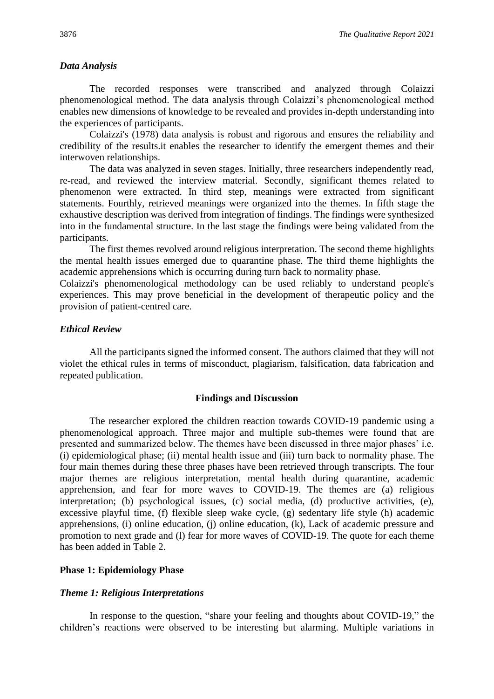#### *Data Analysis*

The recorded responses were transcribed and analyzed through Colaizzi phenomenological method. The data analysis through Colaizzi's phenomenological method enables new dimensions of knowledge to be revealed and provides in-depth understanding into the experiences of participants.

Colaizzi's (1978) data analysis is robust and rigorous and ensures the reliability and credibility of the results.it enables the researcher to identify the emergent themes and their interwoven relationships.

The data was analyzed in seven stages. Initially, three researchers independently read, re-read, and reviewed the interview material. Secondly, significant themes related to phenomenon were extracted. In third step, meanings were extracted from significant statements. Fourthly, retrieved meanings were organized into the themes. In fifth stage the exhaustive description was derived from integration of findings. The findings were synthesized into in the fundamental structure. In the last stage the findings were being validated from the participants.

The first themes revolved around religious interpretation. The second theme highlights the mental health issues emerged due to quarantine phase. The third theme highlights the academic apprehensions which is occurring during turn back to normality phase.

Colaizzi's phenomenological methodology can be used reliably to understand people's experiences. This may prove beneficial in the development of therapeutic policy and the provision of patient-centred care.

#### *Ethical Review*

All the participants signed the informed consent. The authors claimed that they will not violet the ethical rules in terms of misconduct, plagiarism, falsification, data fabrication and repeated publication.

#### **Findings and Discussion**

The researcher explored the children reaction towards COVID-19 pandemic using a phenomenological approach. Three major and multiple sub-themes were found that are presented and summarized below. The themes have been discussed in three major phases' i.e. (i) epidemiological phase; (ii) mental health issue and (iii) turn back to normality phase. The four main themes during these three phases have been retrieved through transcripts. The four major themes are religious interpretation, mental health during quarantine, academic apprehension, and fear for more waves to COVID-19. The themes are (a) religious interpretation; (b) psychological issues, (c) social media, (d) productive activities, (e), excessive playful time, (f) flexible sleep wake cycle, (g) sedentary life style (h) academic apprehensions, (i) online education, (i) online education, (k), Lack of academic pressure and promotion to next grade and (l) fear for more waves of COVID-19. The quote for each theme has been added in Table 2.

#### **Phase 1: Epidemiology Phase**

#### *Theme 1: Religious Interpretations*

In response to the question, "share your feeling and thoughts about COVID-19," the children's reactions were observed to be interesting but alarming. Multiple variations in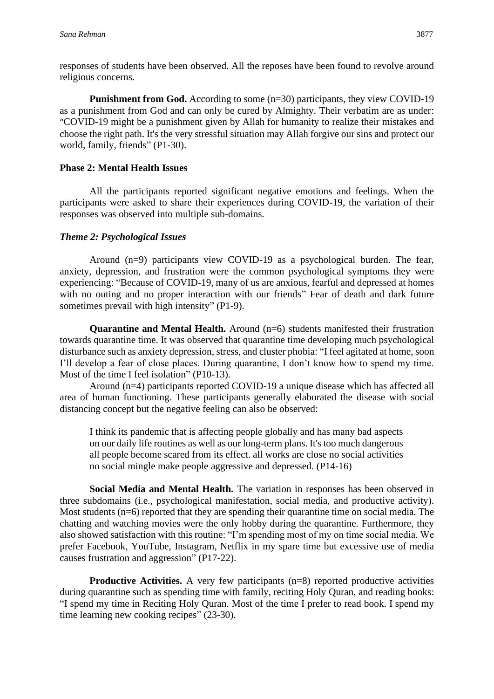responses of students have been observed. All the reposes have been found to revolve around religious concerns.

**Punishment from God.** According to some (n=30) participants, they view COVID-19 as a punishment from God and can only be cured by Almighty. Their verbatim are as under: "COVID-19 might be a punishment given by Allah for humanity to realize their mistakes and choose the right path. It's the very stressful situation may Allah forgive our sins and protect our world, family, friends" (P1-30).

## **Phase 2: Mental Health Issues**

All the participants reported significant negative emotions and feelings. When the participants were asked to share their experiences during COVID-19, the variation of their responses was observed into multiple sub-domains.

## *Theme 2: Psychological Issues*

Around (n=9) participants view COVID-19 as a psychological burden. The fear, anxiety, depression, and frustration were the common psychological symptoms they were experiencing: "Because of COVID-19, many of us are anxious, fearful and depressed at homes with no outing and no proper interaction with our friends" Fear of death and dark future sometimes prevail with high intensity" (P1-9).

**Quarantine and Mental Health.** Around (n=6) students manifested their frustration towards quarantine time. It was observed that quarantine time developing much psychological disturbance such as anxiety depression, stress, and cluster phobia: "I feel agitated at home, soon I'll develop a fear of close places. During quarantine, I don't know how to spend my time. Most of the time I feel isolation" (P10-13).

Around (n=4) participants reported COVID-19 a unique disease which has affected all area of human functioning. These participants generally elaborated the disease with social distancing concept but the negative feeling can also be observed:

I think its pandemic that is affecting people globally and has many bad aspects on our daily life routines as well as our long-term plans. It's too much dangerous all people become scared from its effect. all works are close no social activities no social mingle make people aggressive and depressed. (P14-16)

**Social Media and Mental Health.** The variation in responses has been observed in three subdomains (i.e., psychological manifestation, social media, and productive activity). Most students (n=6) reported that they are spending their quarantine time on social media. The chatting and watching movies were the only hobby during the quarantine. Furthermore, they also showed satisfaction with this routine: "I'm spending most of my on time social media. We prefer Facebook, YouTube, Instagram, Netflix in my spare time but excessive use of media causes frustration and aggression" (P17-22).

**Productive Activities.** A very few participants (n=8) reported productive activities during quarantine such as spending time with family, reciting Holy Quran, and reading books: "I spend my time in Reciting Holy Quran. Most of the time I prefer to read book. I spend my time learning new cooking recipes" (23-30).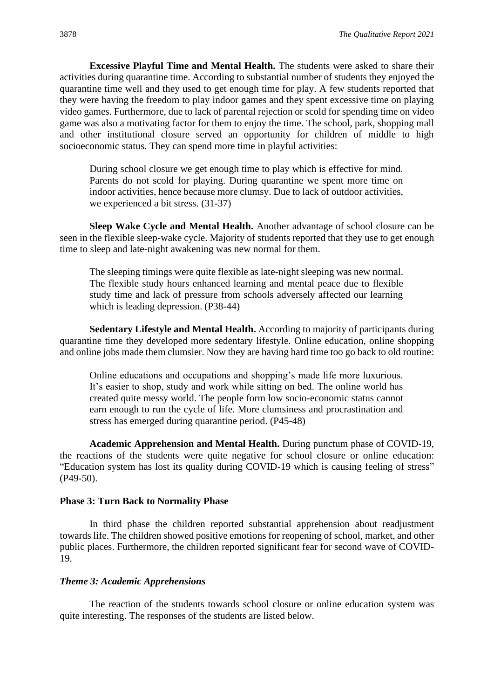**Excessive Playful Time and Mental Health.** The students were asked to share their activities during quarantine time. According to substantial number of students they enjoyed the quarantine time well and they used to get enough time for play. A few students reported that they were having the freedom to play indoor games and they spent excessive time on playing video games. Furthermore, due to lack of parental rejection or scold for spending time on video game was also a motivating factor for them to enjoy the time. The school, park, shopping mall and other institutional closure served an opportunity for children of middle to high socioeconomic status. They can spend more time in playful activities:

During school closure we get enough time to play which is effective for mind. Parents do not scold for playing. During quarantine we spent more time on indoor activities, hence because more clumsy. Due to lack of outdoor activities, we experienced a bit stress. (31-37)

**Sleep Wake Cycle and Mental Health.** Another advantage of school closure can be seen in the flexible sleep-wake cycle. Majority of students reported that they use to get enough time to sleep and late-night awakening was new normal for them.

The sleeping timings were quite flexible as late-night sleeping was new normal. The flexible study hours enhanced learning and mental peace due to flexible study time and lack of pressure from schools adversely affected our learning which is leading depression. (P38-44)

**Sedentary Lifestyle and Mental Health.** According to majority of participants during quarantine time they developed more sedentary lifestyle. Online education, online shopping and online jobs made them clumsier. Now they are having hard time too go back to old routine:

Online educations and occupations and shopping's made life more luxurious. It's easier to shop, study and work while sitting on bed. The online world has created quite messy world. The people form low socio-economic status cannot earn enough to run the cycle of life. More clumsiness and procrastination and stress has emerged during quarantine period. (P45-48)

**Academic Apprehension and Mental Health.** During punctum phase of COVID-19, the reactions of the students were quite negative for school closure or online education: "Education system has lost its quality during COVID-19 which is causing feeling of stress" (P49-50).

#### **Phase 3: Turn Back to Normality Phase**

In third phase the children reported substantial apprehension about readjustment towards life. The children showed positive emotions for reopening of school, market, and other public places. Furthermore, the children reported significant fear for second wave of COVID-19.

#### *Theme 3: Academic Apprehensions*

The reaction of the students towards school closure or online education system was quite interesting. The responses of the students are listed below.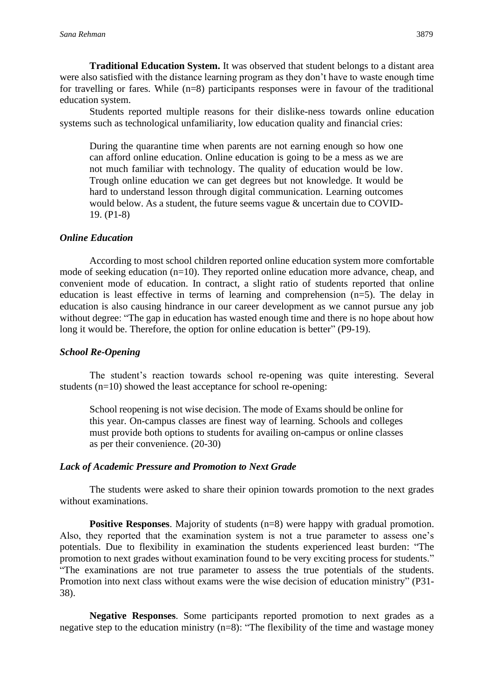**Traditional Education System.** It was observed that student belongs to a distant area were also satisfied with the distance learning program as they don't have to waste enough time for travelling or fares. While  $(n=8)$  participants responses were in favour of the traditional education system.

Students reported multiple reasons for their dislike-ness towards online education systems such as technological unfamiliarity, low education quality and financial cries:

During the quarantine time when parents are not earning enough so how one can afford online education. Online education is going to be a mess as we are not much familiar with technology. The quality of education would be low. Trough online education we can get degrees but not knowledge. It would be hard to understand lesson through digital communication. Learning outcomes would below. As a student, the future seems vague & uncertain due to COVID-19. (P1-8)

#### *Online Education*

According to most school children reported online education system more comfortable mode of seeking education (n=10). They reported online education more advance, cheap, and convenient mode of education. In contract, a slight ratio of students reported that online education is least effective in terms of learning and comprehension (n=5). The delay in education is also causing hindrance in our career development as we cannot pursue any job without degree: "The gap in education has wasted enough time and there is no hope about how long it would be. Therefore, the option for online education is better" (P9-19).

#### *School Re-Opening*

The student's reaction towards school re-opening was quite interesting. Several students (n=10) showed the least acceptance for school re-opening:

School reopening is not wise decision. The mode of Exams should be online for this year. On-campus classes are finest way of learning. Schools and colleges must provide both options to students for availing on-campus or online classes as per their convenience. (20-30)

## *Lack of Academic Pressure and Promotion to Next Grade*

The students were asked to share their opinion towards promotion to the next grades without examinations.

**Positive Responses.** Majority of students (n=8) were happy with gradual promotion. Also, they reported that the examination system is not a true parameter to assess one's potentials. Due to flexibility in examination the students experienced least burden: "The promotion to next grades without examination found to be very exciting process for students." "The examinations are not true parameter to assess the true potentials of the students. Promotion into next class without exams were the wise decision of education ministry" (P31- 38).

**Negative Responses**. Some participants reported promotion to next grades as a negative step to the education ministry (n=8): "The flexibility of the time and wastage money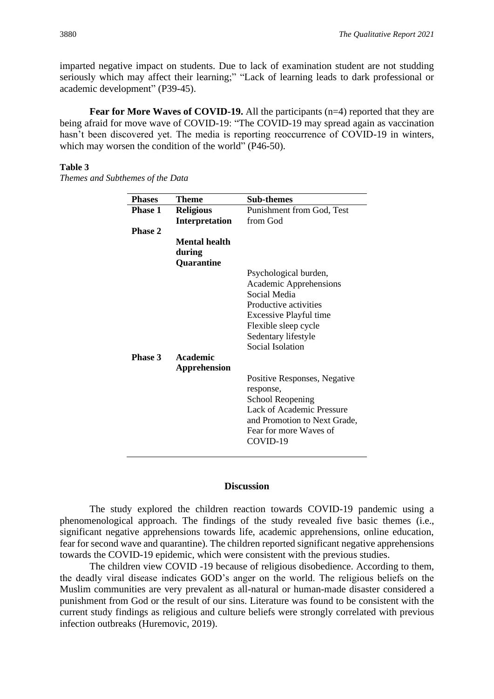imparted negative impact on students. Due to lack of examination student are not studding seriously which may affect their learning;" "Lack of learning leads to dark professional or academic development" (P39-45).

**Fear for More Waves of COVID-19.** All the participants (n=4) reported that they are being afraid for move wave of COVID-19: "The COVID-19 may spread again as vaccination hasn't been discovered vet. The media is reporting reoccurrence of COVID-19 in winters, which may worsen the condition of the world" (P46-50).

#### **Table 3**

*Themes and Subthemes of the Data*

| <b>Phases</b>  | <b>Theme</b>         | Sub-themes                       |
|----------------|----------------------|----------------------------------|
| <b>Phase 1</b> | <b>Religious</b>     | Punishment from God, Test        |
|                | Interpretation       | from God                         |
| <b>Phase 2</b> |                      |                                  |
|                | <b>Mental health</b> |                                  |
|                | during               |                                  |
|                | Quarantine           |                                  |
|                |                      | Psychological burden,            |
|                |                      | Academic Apprehensions           |
|                |                      | Social Media                     |
|                |                      | Productive activities            |
|                |                      | Excessive Playful time           |
|                |                      | Flexible sleep cycle             |
|                |                      | Sedentary lifestyle              |
|                |                      | <b>Social Isolation</b>          |
| Phase 3        | Academic             |                                  |
|                | Apprehension         |                                  |
|                |                      | Positive Responses, Negative     |
|                |                      | response,                        |
|                |                      | School Reopening                 |
|                |                      | <b>Lack of Academic Pressure</b> |
|                |                      | and Promotion to Next Grade,     |
|                |                      | Fear for more Waves of           |
|                |                      | COVID-19                         |
|                |                      |                                  |

## **Discussion**

The study explored the children reaction towards COVID-19 pandemic using a phenomenological approach. The findings of the study revealed five basic themes (i.e., significant negative apprehensions towards life, academic apprehensions, online education, fear for second wave and quarantine). The children reported significant negative apprehensions towards the COVID-19 epidemic, which were consistent with the previous studies.

The children view COVID -19 because of religious disobedience. According to them, the deadly viral disease indicates GOD's anger on the world. The religious beliefs on the Muslim communities are very prevalent as all-natural or human-made disaster considered a punishment from God or the result of our sins. Literature was found to be consistent with the current study findings as religious and culture beliefs were strongly correlated with previous infection outbreaks (Huremovic, 2019).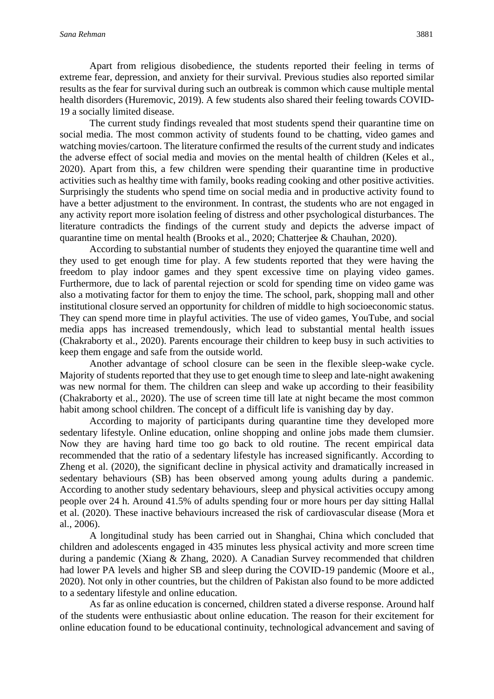Apart from religious disobedience, the students reported their feeling in terms of extreme fear, depression, and anxiety for their survival. Previous studies also reported similar results as the fear for survival during such an outbreak is common which cause multiple mental health disorders (Huremovic, 2019). A few students also shared their feeling towards COVID-19 a socially limited disease.

The current study findings revealed that most students spend their quarantine time on social media. The most common activity of students found to be chatting, video games and watching movies/cartoon. The literature confirmed the results of the current study and indicates the adverse effect of social media and movies on the mental health of children (Keles et al., 2020). Apart from this, a few children were spending their quarantine time in productive activities such as healthy time with family, books reading cooking and other positive activities. Surprisingly the students who spend time on social media and in productive activity found to have a better adjustment to the environment. In contrast, the students who are not engaged in any activity report more isolation feeling of distress and other psychological disturbances. The literature contradicts the findings of the current study and depicts the adverse impact of quarantine time on mental health (Brooks et al., 2020; Chatterjee & Chauhan, 2020).

According to substantial number of students they enjoyed the quarantine time well and they used to get enough time for play. A few students reported that they were having the freedom to play indoor games and they spent excessive time on playing video games. Furthermore, due to lack of parental rejection or scold for spending time on video game was also a motivating factor for them to enjoy the time. The school, park, shopping mall and other institutional closure served an opportunity for children of middle to high socioeconomic status. They can spend more time in playful activities. The use of video games, YouTube, and social media apps has increased tremendously, which lead to substantial mental health issues (Chakraborty et al., 2020). Parents encourage their children to keep busy in such activities to keep them engage and safe from the outside world.

Another advantage of school closure can be seen in the flexible sleep-wake cycle. Majority of students reported that they use to get enough time to sleep and late-night awakening was new normal for them. The children can sleep and wake up according to their feasibility (Chakraborty et al., 2020). The use of screen time till late at night became the most common habit among school children. The concept of a difficult life is vanishing day by day.

According to majority of participants during quarantine time they developed more sedentary lifestyle. Online education, online shopping and online jobs made them clumsier. Now they are having hard time too go back to old routine. The recent empirical data recommended that the ratio of a sedentary lifestyle has increased significantly. According to Zheng et al. (2020), the significant decline in physical activity and dramatically increased in sedentary behaviours (SB) has been observed among young adults during a pandemic. According to another study sedentary behaviours, sleep and physical activities occupy among people over 24 h. Around 41.5% of adults spending four or more hours per day sitting Hallal et al. (2020). These inactive behaviours increased the risk of cardiovascular disease (Mora et al., 2006).

A longitudinal study has been carried out in Shanghai, China which concluded that children and adolescents engaged in 435 minutes less physical activity and more screen time during a pandemic (Xiang & Zhang, 2020). A Canadian Survey recommended that children had lower PA levels and higher SB and sleep during the COVID-19 pandemic (Moore et al., 2020). Not only in other countries, but the children of Pakistan also found to be more addicted to a sedentary lifestyle and online education.

As far as online education is concerned, children stated a diverse response. Around half of the students were enthusiastic about online education. The reason for their excitement for online education found to be educational continuity, technological advancement and saving of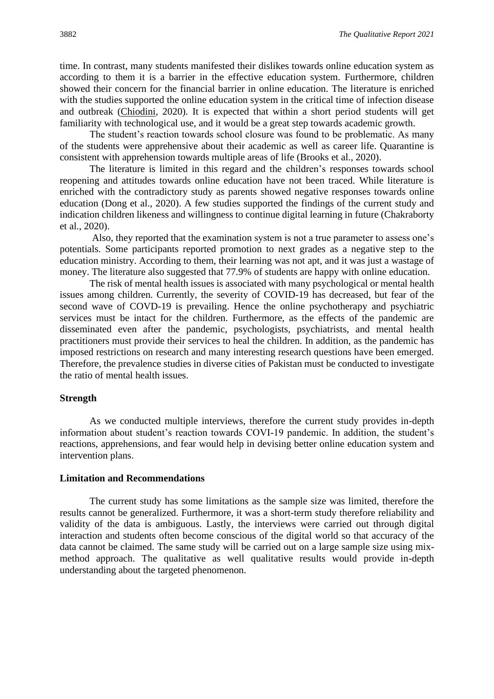time. In contrast, many students manifested their dislikes towards online education system as according to them it is a barrier in the effective education system. Furthermore, children showed their concern for the financial barrier in online education. The literature is enriched with the studies supported the online education system in the critical time of infection disease and outbreak [\(Chiodini,](https://www.ncbi.nlm.nih.gov/pubmed/?term=Chiodini%20J%5BAuthor%5D&cauthor=true&cauthor_uid=32289547) 2020). It is expected that within a short period students will get familiarity with technological use, and it would be a great step towards academic growth.

The student's reaction towards school closure was found to be problematic. As many of the students were apprehensive about their academic as well as career life. Quarantine is consistent with apprehension towards multiple areas of life (Brooks et al., 2020).

The literature is limited in this regard and the children's responses towards school reopening and attitudes towards online education have not been traced. While literature is enriched with the contradictory study as parents showed negative responses towards online education (Dong et al., 2020). A few studies supported the findings of the current study and indication children likeness and willingness to continue digital learning in future (Chakraborty et al., 2020).

Also, they reported that the examination system is not a true parameter to assess one's potentials. Some participants reported promotion to next grades as a negative step to the education ministry. According to them, their learning was not apt, and it was just a wastage of money. The literature also suggested that 77.9% of students are happy with online education.

The risk of mental health issues is associated with many psychological or mental health issues among children. Currently, the severity of COVID-19 has decreased, but fear of the second wave of COVD-19 is prevailing. Hence the online psychotherapy and psychiatric services must be intact for the children. Furthermore, as the effects of the pandemic are disseminated even after the pandemic, psychologists, psychiatrists, and mental health practitioners must provide their services to heal the children. In addition, as the pandemic has imposed restrictions on research and many interesting research questions have been emerged. Therefore, the prevalence studies in diverse cities of Pakistan must be conducted to investigate the ratio of mental health issues.

#### **Strength**

As we conducted multiple interviews, therefore the current study provides in-depth information about student's reaction towards COVI-19 pandemic. In addition, the student's reactions, apprehensions, and fear would help in devising better online education system and intervention plans.

## **Limitation and Recommendations**

The current study has some limitations as the sample size was limited, therefore the results cannot be generalized. Furthermore, it was a short-term study therefore reliability and validity of the data is ambiguous. Lastly, the interviews were carried out through digital interaction and students often become conscious of the digital world so that accuracy of the data cannot be claimed. The same study will be carried out on a large sample size using mixmethod approach. The qualitative as well qualitative results would provide in-depth understanding about the targeted phenomenon.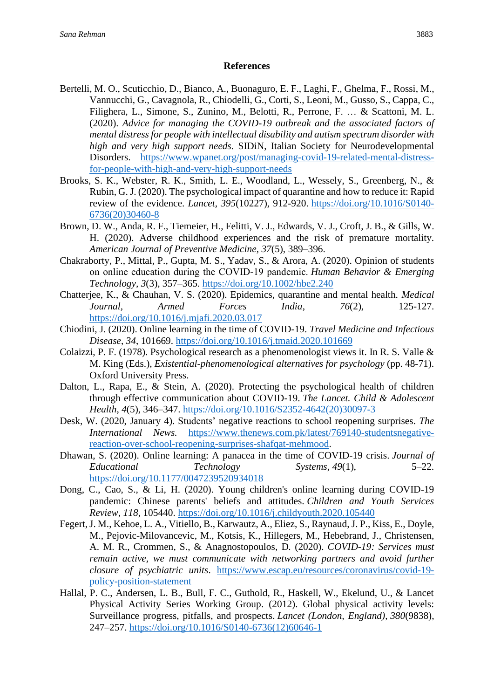## **References**

- Bertelli, M. O., Scuticchio, D., Bianco, A., Buonaguro, E. F., Laghi, F., Ghelma, F., Rossi, M., Vannucchi, G., Cavagnola, R., Chiodelli, G., Corti, S., Leoni, M., Gusso, S., Cappa, C., Filighera, L., Simone, S., Zunino, M., Belotti, R., Perrone, F. … & Scattoni, M. L. (2020). *Advice for managing the COVID-19 outbreak and the associated factors of mental distress for people with intellectual disability and autism spectrum disorder with high and very high support needs*. SIDiN, Italian Society for Neurodevelopmental Disorders. [https://www.wpanet.org/post/managing-covid-19-related-mental-distress](https://www.wpanet.org/post/managing-covid-19-related-mental-distress-for-people-with-high-and-very-high-support-needs)[for-people-with-high-and-very-high-support-needs](https://www.wpanet.org/post/managing-covid-19-related-mental-distress-for-people-with-high-and-very-high-support-needs)
- Brooks, S. K., Webster, R. K., Smith, L. E., Woodland, L., Wessely, S., Greenberg, N., & Rubin, G. J. (2020). The psychological impact of quarantine and how to reduce it: Rapid review of the evidence. *Lancet, 395*(10227), 912-920. [https://doi.org/10.1016/S0140-](https://doi.org/10.1016/S0140-6736(20)30460-8) [6736\(20\)30460-8](https://doi.org/10.1016/S0140-6736(20)30460-8)
- Brown, D. W., Anda, R. F., Tiemeier, H., Felitti, V. J., Edwards, V. J., Croft, J. B., & Gills, W. H. (2020). Adverse childhood experiences and the risk of premature mortality. *American Journal of Preventive Medicine, 37*(5), 389–396.
- Chakraborty, P., Mittal, P., Gupta, M. S., Yadav, S., & Arora, A. (2020). Opinion of students on online education during the COVID‐19 pandemic. *Human Behavior & Emerging Technology, 3*(3), 357–365. <https://doi.org/10.1002/hbe2.240>
- Chatterjee, K., & Chauhan, V. S. (2020). Epidemics, quarantine and mental health. *Medical Journal, Armed Forces India*, *76*(2), 125-127. <https://doi.org/10.1016/j.mjafi.2020.03.017>
- Chiodini, J. (2020). Online learning in the time of COVID-19. *Travel Medicine and Infectious Disease*, *34*, 101669.<https://doi.org/10.1016/j.tmaid.2020.101669>
- Colaizzi, P. F. (1978). Psychological research as a phenomenologist views it. In R. S. Valle & M. King (Eds.), *Existential-phenomenological alternatives for psychology* (pp. 48-71). Oxford University Press.
- Dalton, L., Rapa, E., & Stein, A. (2020). Protecting the psychological health of children through effective communication about COVID-19. *The Lancet. Child & Adolescent Health*, *4*(5), 346–347. [https://doi.org/10.1016/S2352-4642\(20\)30097-3](https://doi.org/10.1016/S2352-4642(20)30097-3)
- Desk, W. (2020, January 4). Students' negative reactions to school reopening surprises. *The International News.* [https://www.thenews.com.pk/latest/769140-studentsnegative](https://www.thenews.com.pk/latest/769140-studentsnegative-reaction-over-school-reopening-surprises-shafqat-mehmood)[reaction-over-school-reopening-surprises-shafqat-mehmood.](https://www.thenews.com.pk/latest/769140-studentsnegative-reaction-over-school-reopening-surprises-shafqat-mehmood)
- Dhawan, S. (2020). Online learning: A panacea in the time of COVID-19 crisis. *Journal of Educational Technology Systems*, *49*(1), 5–22. <https://doi.org/10.1177/0047239520934018>
- Dong, C., Cao, S., & Li, H. (2020). Young children's online learning during COVID-19 pandemic: Chinese parents' beliefs and attitudes. *Children and Youth Services Review*, *118*, 105440.<https://doi.org/10.1016/j.childyouth.2020.105440>
- Fegert, J. M., Kehoe, L. A., Vitiello, B., Karwautz, A., Eliez, S., Raynaud, J. P., Kiss, E., Doyle, M., Pejovic-Milovancevic, M., Kotsis, K., Hillegers, M., Hebebrand, J., Christensen, A. M. R., Crommen, S., & Anagnostopoulos, D*.* (2020). *COVID-19: Services must remain active, we must communicate with networking partners and avoid further closure of psychiatric units*. [https://www.escap.eu/resources/coronavirus/covid-19](https://www.escap.eu/resources/coronavirus/covid-19-policy-position-statement) [policy-position-statement](https://www.escap.eu/resources/coronavirus/covid-19-policy-position-statement)
- Hallal, P. C., Andersen, L. B., Bull, F. C., Guthold, R., Haskell, W., Ekelund, U., & Lancet Physical Activity Series Working Group. (2012). Global physical activity levels: Surveillance progress, pitfalls, and prospects. *Lancet (London, England)*, *380*(9838), 247–257. [https://doi.org/10.1016/S0140-6736\(12\)60646-1](https://doi.org/10.1016/S0140-6736(12)60646-1)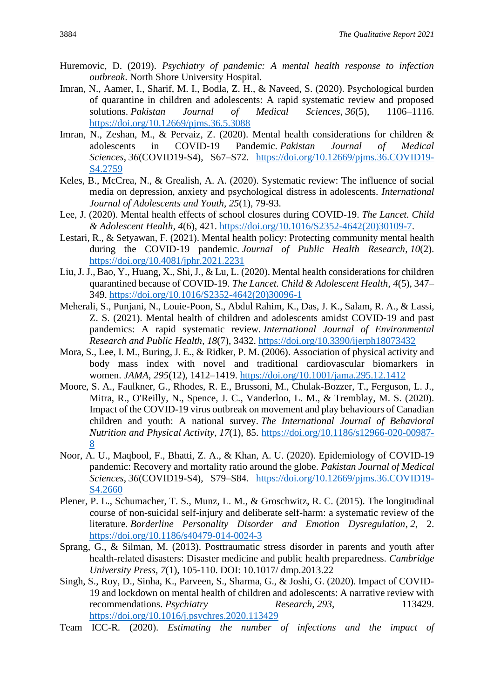- Huremovic, D. (2019). *Psychiatry of pandemic: A mental health response to infection outbreak*. North Shore University Hospital.
- Imran, N., Aamer, I., Sharif, M. I., Bodla, Z. H., & Naveed, S. (2020). Psychological burden of quarantine in children and adolescents: A rapid systematic review and proposed solutions. *Pakistan Journal of Medical Sciences*, *36*(5), 1106–1116. <https://doi.org/10.12669/pjms.36.5.3088>
- Imran, N., Zeshan, M., & Pervaiz, Z. (2020). Mental health considerations for children & adolescents in COVID-19 Pandemic. *Pakistan Journal of Medical Sciences*, *36*(COVID19-S4), S67–S72. [https://doi.org/10.12669/pjms.36.COVID19-](https://doi.org/10.12669/pjms.36.COVID19-S4.2759) [S4.2759](https://doi.org/10.12669/pjms.36.COVID19-S4.2759)
- Keles, B., McCrea, N., & Grealish, A. A. (2020). Systematic review: The influence of social media on depression, anxiety and psychological distress in adolescents. *International Journal of Adolescents and Youth, 25*(1), 79-93.
- Lee, J. (2020). Mental health effects of school closures during COVID-19. *The Lancet. Child & Adolescent Health*, *4*(6), 421. [https://doi.org/10.1016/S2352-4642\(20\)30109-7.](https://doi.org/10.1016/S2352-4642(20)30109-7)
- Lestari, R., & Setyawan, F. (2021). Mental health policy: Protecting community mental health during the COVID-19 pandemic. *Journal of Public Health Research*, *10*(2). <https://doi.org/10.4081/jphr.2021.2231>
- Liu, J. J., Bao, Y., Huang, X., Shi, J., & Lu, L. (2020). Mental health considerations for children quarantined because of COVID-19. *The Lancet. Child & Adolescent Health*, *4*(5), 347– 349. [https://doi.org/10.1016/S2352-4642\(20\)30096-1](https://doi.org/10.1016/S2352-4642(20)30096-1)
- Meherali, S., Punjani, N., Louie-Poon, S., Abdul Rahim, K., Das, J. K., Salam, R. A., & Lassi, Z. S. (2021). Mental health of children and adolescents amidst COVID-19 and past pandemics: A rapid systematic review. *International Journal of Environmental Research and Public Health*, *18*(7), 3432.<https://doi.org/10.3390/ijerph18073432>
- Mora, S., Lee, I. M., Buring, J. E., & Ridker, P. M. (2006). Association of physical activity and body mass index with novel and traditional cardiovascular biomarkers in women. *JAMA*, *295*(12), 1412–1419.<https://doi.org/10.1001/jama.295.12.1412>
- Moore, S. A., Faulkner, G., Rhodes, R. E., Brussoni, M., Chulak-Bozzer, T., Ferguson, L. J., Mitra, R., O'Reilly, N., Spence, J. C., Vanderloo, L. M., & Tremblay, M. S. (2020). Impact of the COVID-19 virus outbreak on movement and play behaviours of Canadian children and youth: A national survey. *The International Journal of Behavioral Nutrition and Physical Activity*, *17*(1), 85. [https://doi.org/10.1186/s12966-020-00987-](https://doi.org/10.1186/s12966-020-00987-8) [8](https://doi.org/10.1186/s12966-020-00987-8)
- Noor, A. U., Maqbool, F., Bhatti, Z. A., & Khan, A. U. (2020). Epidemiology of COVID-19 pandemic: Recovery and mortality ratio around the globe. *Pakistan Journal of Medical Sciences*, *36*(COVID19-S4), S79–S84. [https://doi.org/10.12669/pjms.36.COVID19-](https://doi.org/10.12669/pjms.36.COVID19-S4.2660) [S4.2660](https://doi.org/10.12669/pjms.36.COVID19-S4.2660)
- Plener, P. L., Schumacher, T. S., Munz, L. M., & Groschwitz, R. C. (2015). The longitudinal course of non-suicidal self-injury and deliberate self-harm: a systematic review of the literature. *Borderline Personality Disorder and Emotion Dysregulation*, *2*, 2. <https://doi.org/10.1186/s40479-014-0024-3>
- Sprang, G., & Silman, M. (2013). Posttraumatic stress disorder in parents and youth after health-related disasters: Disaster medicine and public health preparedness. *Cambridge University Press, 7*(1), 105-110. DOI: 10.1017/ dmp.2013.22
- Singh, S., Roy, D., Sinha, K., Parveen, S., Sharma, G., & Joshi, G. (2020). Impact of COVID-19 and lockdown on mental health of children and adolescents: A narrative review with recommendations. *Psychiatry Research*, 293, 113429. <https://doi.org/10.1016/j.psychres.2020.113429>
- Team ICC-R*.* (2020). *Estimating the number of infections and the impact of*